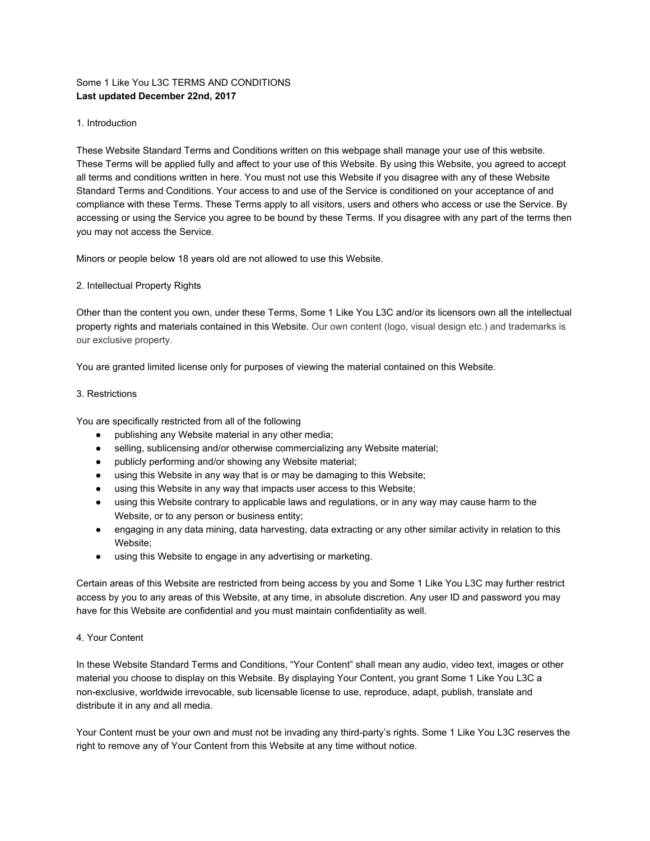# Some 1 Like You L3C TERMS AND CONDITIONS **Last updated December 22nd, 2017**

## 1. Introduction

These Website Standard Terms and Conditions written on this webpage shall manage your use of this website. These Terms will be applied fully and affect to your use of this Website. By using this Website, you agreed to accept all terms and conditions written in here. You must not use this Website if you disagree with any of these Website Standard Terms and Conditions. Your access to and use of the Service is conditioned on your acceptance of and compliance with these Terms. These Terms apply to all visitors, users and others who access or use the Service. By accessing or using the Service you agree to be bound by these Terms. If you disagree with any part of the terms then you may not access the Service.

Minors or people below 18 years old are not allowed to use this Website.

## 2. Intellectual Property Rights

Other than the content you own, under these Terms, Some 1 Like You L3C and/or its licensors own all the intellectual property rights and materials contained in this Website. Our own content (logo, visual design etc.) and trademarks is our exclusive property.

You are granted limited license only for purposes of viewing the material contained on this Website.

## 3. Restrictions

You are specifically restricted from all of the following

- publishing any Website material in any other media;
- selling, sublicensing and/or otherwise commercializing any Website material;
- publicly performing and/or showing any Website material;
- using this Website in any way that is or may be damaging to this Website;
- using this Website in any way that impacts user access to this Website;
- using this Website contrary to applicable laws and regulations, or in any way may cause harm to the Website, or to any person or business entity;
- engaging in any data mining, data harvesting, data extracting or any other similar activity in relation to this Website;
- using this Website to engage in any advertising or marketing.

Certain areas of this Website are restricted from being access by you and Some 1 Like You L3C may further restrict access by you to any areas of this Website, at any time, in absolute discretion. Any user ID and password you may have for this Website are confidential and you must maintain confidentiality as well.

## 4. Your Content

In these Website Standard Terms and Conditions, "Your Content" shall mean any audio, video text, images or other material you choose to display on this Website. By displaying Your Content, you grant Some 1 Like You L3C a non-exclusive, worldwide irrevocable, sub licensable license to use, reproduce, adapt, publish, translate and distribute it in any and all media.

Your Content must be your own and must not be invading any third-party's rights. Some 1 Like You L3C reserves the right to remove any of Your Content from this Website at any time without notice.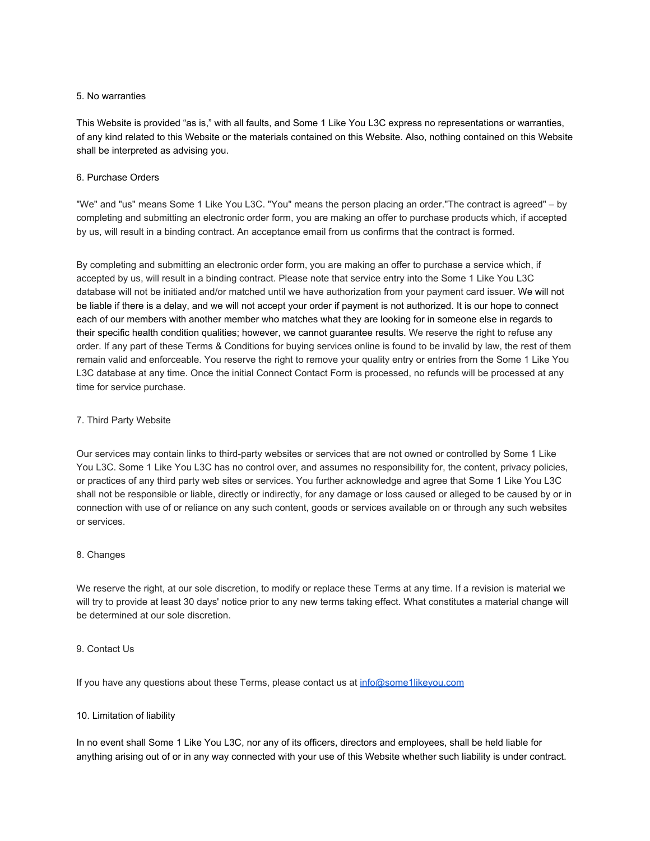## 5. No warranties

This Website is provided "as is," with all faults, and Some 1 Like You L3C express no representations or warranties, of any kind related to this Website or the materials contained on this Website. Also, nothing contained on this Website shall be interpreted as advising you.

# 6. Purchase Orders

"We" and "us" means Some 1 Like You L3C. "You" means the person placing an order."The contract is agreed" – by completing and submitting an electronic order form, you are making an offer to purchase products which, if accepted by us, will result in a binding contract. An acceptance email from us confirms that the contract is formed.

By completing and submitting an electronic order form, you are making an offer to purchase a service which, if accepted by us, will result in a binding contract. Please note that service entry into the Some 1 Like You L3C database will not be initiated and/or matched until we have authorization from your payment card issuer. We will not be liable if there is a delay, and we will not accept your order if payment is not authorized. It is our hope to connect each of our members with another member who matches what they are looking for in someone else in regards to their specific health condition qualities; however, we cannot guarantee results. We reserve the right to refuse any order. If any part of these Terms & Conditions for buying services online is found to be invalid by law, the rest of them remain valid and enforceable. You reserve the right to remove your quality entry or entries from the Some 1 Like You L3C database at any time. Once the initial Connect Contact Form is processed, no refunds will be processed at any time for service purchase.

# 7. Third Party Website

Our services may contain links to third-party websites or services that are not owned or controlled by Some 1 Like You L3C. Some 1 Like You L3C has no control over, and assumes no responsibility for, the content, privacy policies, or practices of any third party web sites or services. You further acknowledge and agree that Some 1 Like You L3C shall not be responsible or liable, directly or indirectly, for any damage or loss caused or alleged to be caused by or in connection with use of or reliance on any such content, goods or services available on or through any such websites or services.

# 8. Changes

We reserve the right, at our sole discretion, to modify or replace these Terms at any time. If a revision is material we will try to provide at least 30 days' notice prior to any new terms taking effect. What constitutes a material change will be determined at our sole discretion.

## 9. Contact Us

If you have any questions about these Terms, please contact us at [info@some1likeyou.com](mailto:info@some1likeyou.com)

# 10. Limitation of liability

In no event shall Some 1 Like You L3C, nor any of its officers, directors and employees, shall be held liable for anything arising out of or in any way connected with your use of this Website whether such liability is under contract.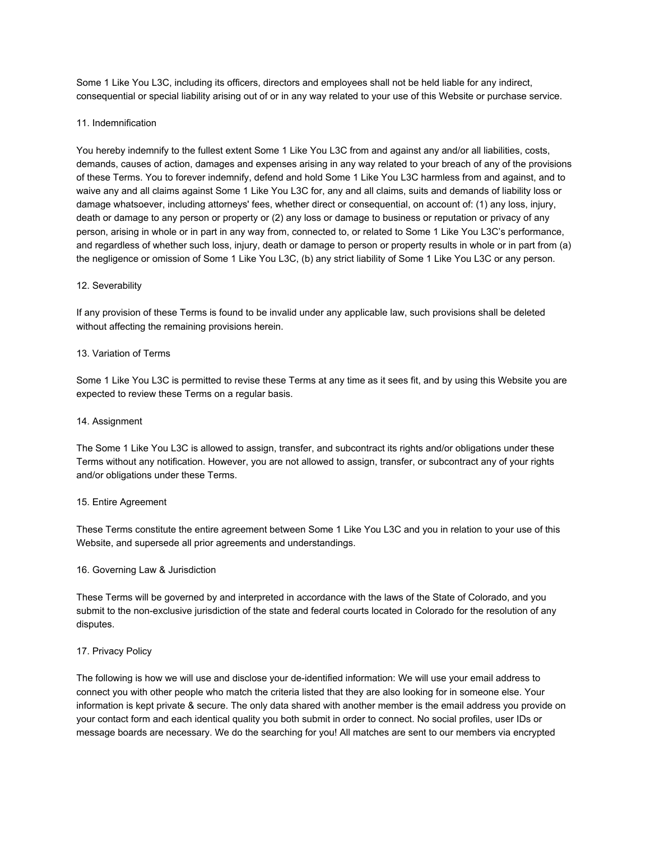Some 1 Like You L3C, including its officers, directors and employees shall not be held liable for any indirect, consequential or special liability arising out of or in any way related to your use of this Website or purchase service.

## 11. Indemnification

You hereby indemnify to the fullest extent Some 1 Like You L3C from and against any and/or all liabilities, costs, demands, causes of action, damages and expenses arising in any way related to your breach of any of the provisions of these Terms. You to forever indemnify, defend and hold Some 1 Like You L3C harmless from and against, and to waive any and all claims against Some 1 Like You L3C for, any and all claims, suits and demands of liability loss or damage whatsoever, including attorneys' fees, whether direct or consequential, on account of: (1) any loss, injury, death or damage to any person or property or (2) any loss or damage to business or reputation or privacy of any person, arising in whole or in part in any way from, connected to, or related to Some 1 Like You L3C's performance, and regardless of whether such loss, injury, death or damage to person or property results in whole or in part from (a) the negligence or omission of Some 1 Like You L3C, (b) any strict liability of Some 1 Like You L3C or any person.

## 12. Severability

If any provision of these Terms is found to be invalid under any applicable law, such provisions shall be deleted without affecting the remaining provisions herein.

### 13. Variation of Terms

Some 1 Like You L3C is permitted to revise these Terms at any time as it sees fit, and by using this Website you are expected to review these Terms on a regular basis.

## 14. Assignment

The Some 1 Like You L3C is allowed to assign, transfer, and subcontract its rights and/or obligations under these Terms without any notification. However, you are not allowed to assign, transfer, or subcontract any of your rights and/or obligations under these Terms.

### 15. Entire Agreement

These Terms constitute the entire agreement between Some 1 Like You L3C and you in relation to your use of this Website, and supersede all prior agreements and understandings.

### 16. Governing Law & Jurisdiction

These Terms will be governed by and interpreted in accordance with the laws of the State of Colorado, and you submit to the non-exclusive jurisdiction of the state and federal courts located in Colorado for the resolution of any disputes.

### 17. Privacy Policy

The following is how we will use and disclose your de-identified information: We will use your email address to connect you with other people who match the criteria listed that they are also looking for in someone else. Your information is kept private & secure. The only data shared with another member is the email address you provide on your contact form and each identical quality you both submit in order to connect. No social profiles, user IDs or message boards are necessary. We do the searching for you! All matches are sent to our members via encrypted